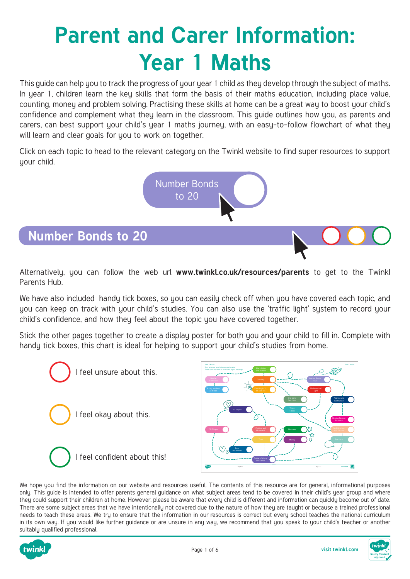# **Parent and Carer Information: Year 1 Maths**

This guide can help you to track the progress of your year 1 child as they develop through the subject of maths. In year 1, children learn the key skills that form the basis of their maths education, including place value, counting, money and problem solving. Practising these skills at home can be a great way to boost your child's confidence and complement what they learn in the classroom. This guide outlines how you, as parents and carers, can best support your child's year 1 maths journey, with an easy-to-follow flowchart of what they will learn and clear goals for you to work on together.

Click on each topic to head to the relevant category on the Twinkl website to find super resources to support your child.



#### **Number Bonds to 20**

Alternatively, you can follow the web url **[www.twinkl.co.uk/resources/parents](https://www.twinkl.co.uk/resources/parents)** to get to the Twinkl Parents Hub.

We have also included handy tick boxes, so you can easily check off when you have covered each topic, and you can keep on track with your child's studies. You can also use the 'traffic light' system to record your child's confidence, and how they feel about the topic you have covered together.

Stick the other pages together to create a display poster for both you and your child to fill in. Complete with handy tick boxes, this chart is ideal for helping to support your child's studies from home.





We hope you find the information on our website and resources useful. The contents of this resource are for general, informational purposes only. This guide is intended to offer parents general guidance on what subject areas tend to be covered in their child's year group and where they could support their children at home. However, please be aware that every child is different and information can quickly become out of date. There are some subject areas that we have intentionally not covered due to the nature of how they are taught or because a trained professional needs to teach these areas. We try to ensure that the information in our resources is correct but every school teaches the national curriculum in its own way. If you would like further guidance or are unsure in any way, we recommend that you speak to your child's teacher or another suitably qualified professional.



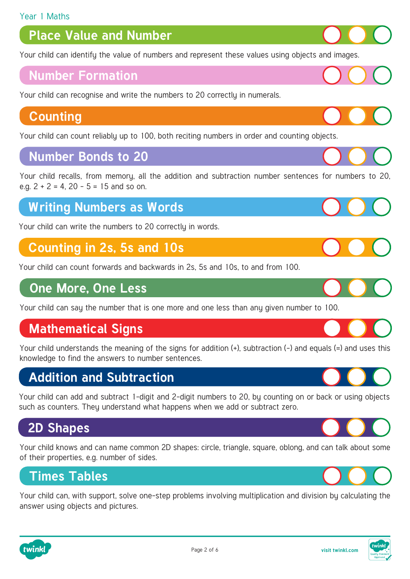## **Place Value and Number**

[Your child can identify the value of numbers and represent these values using objects and images.](https://www.twinkl.co.uk/resources/maths-school-years-parents/number-and-place-value-maths-main-subjects-parents/year-1-ages-5-6-number-and-place-value-maths-main-subjects-parents)

#### **Number Formation**

[Your child can recognise and write the numbers to 20 correctly in numerals.](https://www.twinkl.co.uk/resources/maths-school-years-parents/number-formation-maths-main-subjects-parents/number-formation-year-1-ages-5-6-maths-main-subjects-parents)

## **Counting**

[Your child can count reliably up to 100, both reciting numbers in order and counting objects.](https://www.twinkl.co.uk/resources/maths-school-years-parents/counting-maths-main-subjects-parents/counting-year-1-age-5-6-maths-main-subjects-parents)

#### **Number Bonds to 20**

[Your child recalls, from memory, all the addition and subtraction number sentences for numbers to 20,](https://www.twinkl.co.uk/resources/maths-school-years-parents/number-bonds-maths-main-subjects-parents/number-bonds-year-1-ages-5-6-number-bonds-maths-main-subjects-parents)  e.g.  $2 + 2 = 4$ ,  $20 - 5 = 15$  and so on.

## **[Writing Numbers as Words](https://www.twinkl.co.uk/resources/age-specific-resources-parents/maths-school-years-parents/writing-numbers-as-words-maths-main-subjects-parents)**

Your child can write the numbers to 20 correctly in words.

## **[Counting in 2s, 5s and 10s](https://www.twinkl.co.uk/resources/maths-school-years-parents/multiplication-and-division-maths-main-subjects-parents/year-1-ages-5-6-multiplication-and-division-maths-main-subjects-parents)**

Your child can count forwards and backwards in 2s, 5s and 10s, to and from 100.

## **[One More, One Less](https://www.twinkl.co.uk/resources/age-specific-resources-parents/maths-school-years-parents/one-more-one-less-maths-main-subjects-parents)**

Your child can say the number that is one more and one less than any given number to 100.

## **Mathematical Signs**

[Your child understands the meaning of the signs for addition \(+\), subtraction \(-\) and equals \(=\) and uses this](https://www.twinkl.co.uk/resources/age-specific-resources-parents/maths-school-years-parents/mathematical-signs-maths-main-subjects-parents)  knowledge to find the answers to number sentences.

## **Addition and Subtraction**

[Your child can add and subtract 1-digit and 2-digit numbers to 20, by counting on or back or using objects](https://www.twinkl.co.uk/resources/maths-school-years-parents/addition-and-subtraction-maths-main-subjects-parents/addition-and-subtraction-year-1-ages-5-6-parents)  such as counters. They understand what happens when we add or subtract zero.

## **[2D Shapes](https://www.twinkl.co.uk/resources/age-specific-resources-parents/maths-school-years-parents/2d-shapes-maths-main-subjects-parents)**

Your child knows and can name common 2D shapes: circle, triangle, square, oblong, and can talk about some of their properties, e.g. number of sides.

## **Times Tables**

[Your child can, with support, solve one-step problems involving multiplication and division by calculating the](https://www.twinkl.co.uk/resources/maths-school-years-parents/times-tables-maths-main-subjects-parents/times-tables-year-1-ages-5-6-times-tables-maths-main-subjects-parents)  answer using objects and pictures.













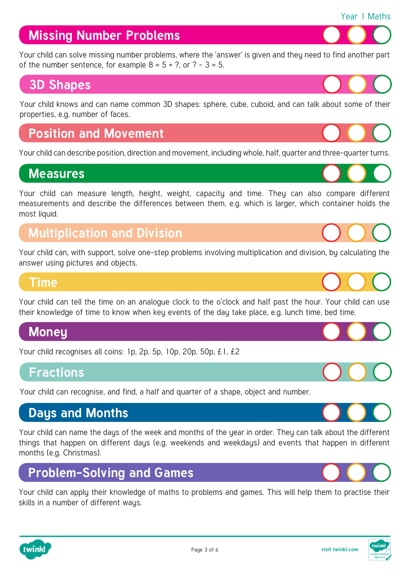## **Missing Number Problems**

[Your child can solve missing number problems, where the 'answer' is given and they need to find another part](https://www.twinkl.co.uk/resources/maths-school-years-parents/problem-solving-and-games-maths-main-subjects-parents/problem-solving-and-games-year-1-ages-5-6-maths-main-subjects-parents)  of the number sentence, for example  $8 = 5 + ?$ , or  $? - 3 = 5$ .

## **[3D Shapes](https://www.twinkl.co.uk/resources/age-specific-resources-parents/maths-school-years-parents/3d-shapes-maths-main-subjects-parents)**

Your child knows and can name common 3D shapes: sphere, cube, cuboid, and can talk about some of their properties, e.g. number of faces.

## **[Position and Movement](https://www.twinkl.co.uk/resources/maths-school-years-parents/position-and-movement-maths-main-subjects-parents/position-and-movement-year-1-age-5-6-maths-main-subjects-parents)**

Your child can describe position, direction and movement, including whole, half, quarter and three-quarter turns.

## **Measures**

Your child can measure length, height, weight, capacity and time. They can also compare different measurements and describe the differences between them, e.g. which is larger, which container holds the most liquid.

## **[Multiplication and Division](https://www.twinkl.co.uk/resources/maths-school-years-parents/multiplication-and-division-maths-main-subjects-parents/year-1-ages-5-6-multiplication-and-division-maths-main-subjects-parents)**

Your child can, with support, solve one-step problems involving multiplication and division, by calculating the answer using pictures and objects.

#### **Time**

[Your child can tell the time on an analogue clock to the o'clock and half past the hour. Your child can use](https://www.twinkl.co.uk/resources/age-specific-resources-parents/maths-school-years-parents/telling-the-time-maths-main-subjects-parents)  their knowledge of time to know when key events of the day take place, e.g. lunch time, bed time.

## **[Money](https://www.twinkl.co.uk/resources/age-specific-resources-parents/maths-school-years-parents/money-maths-main-subjects-parents)**

Your child recognises all coins: 1p, 2p, 5p, 10p, 20p, 50p, £1, £2

## **Fractions**

[Your child can recognise, and find, a half and quarter of a shape, object and number.](https://www.twinkl.co.uk/resources/maths-school-years-parents/fractions-maths-main-subjects-parents/fractions-year-1-ages-5-6-fractions-maths-main-subjects-parents) 

## **Days and Months**

[Your child can name the days of the week and months of the year in order. They can talk about the different](https://www.twinkl.co.uk/resources/age-specific-resources-parents/maths-school-years-parents/days-months-maths-main-subjects-parents)  things that happen on different days (e.g. weekends and weekdays) and events that happen in different months (e.g. Christmas).

## **Problem-Solving and Games**

[Your child can apply their knowledge of maths to problems and games. This will help them to practise their](https://www.twinkl.co.uk/resources/maths-school-years-parents/problem-solving-and-games-maths-main-subjects-parents/problem-solving-and-games-year-1-ages-5-6-maths-main-subjects-parents)  skills in a number of different ways.

Page 3 of 6













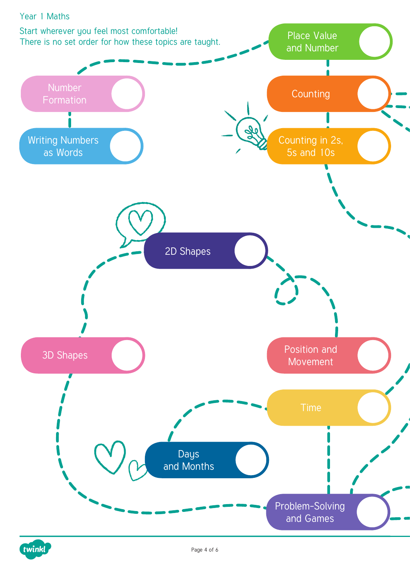

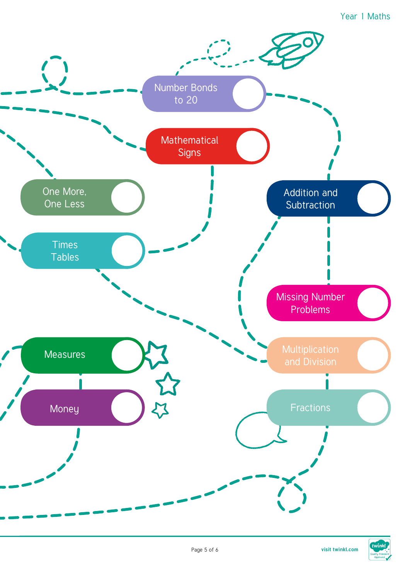#### Year 1 Maths